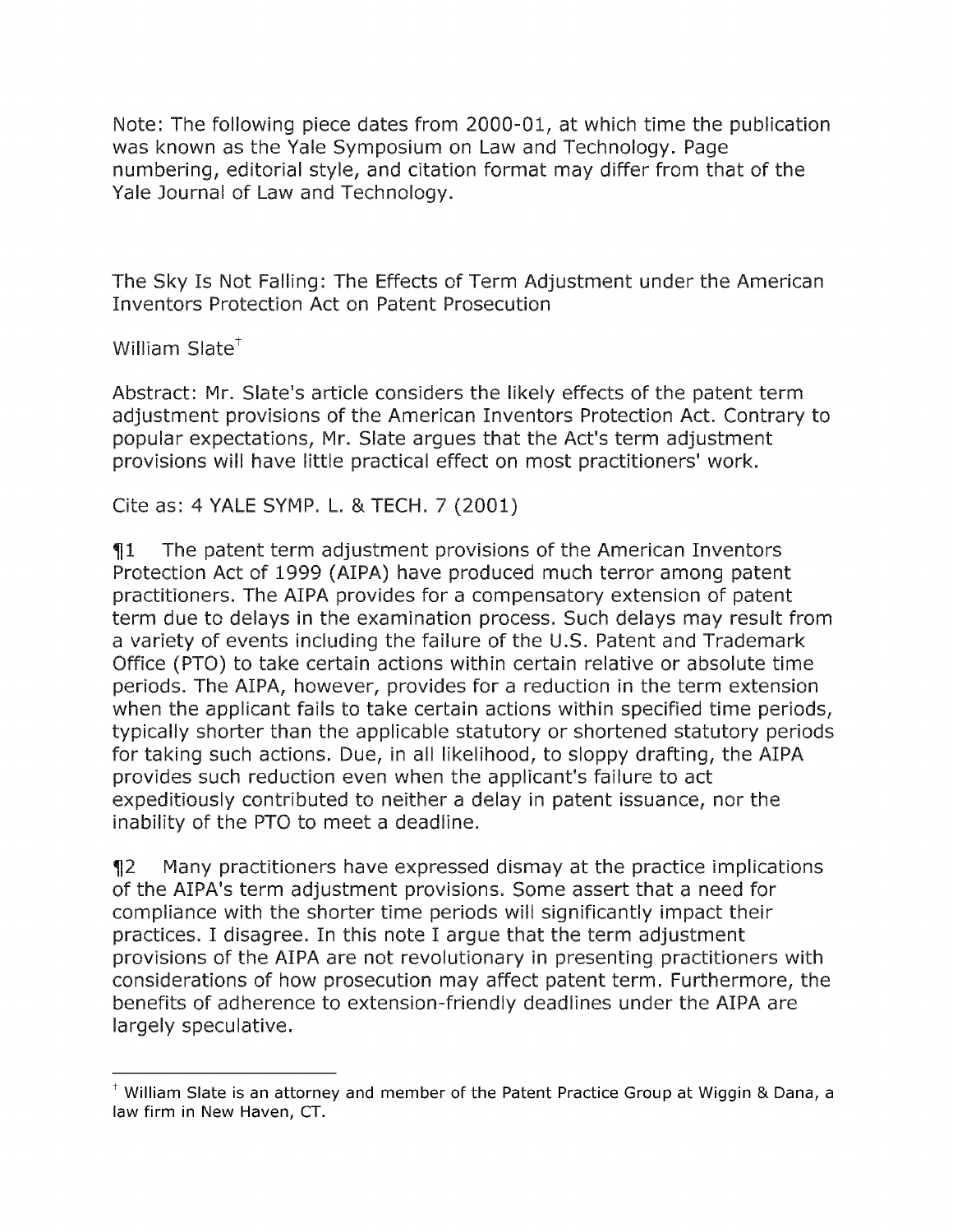Note: The following piece dates from 2000-01, at which time the publication was known as the Yale Symposium on Law and Technology. Page numbering, editorial style, and citation format may differ from that of the Yale Journal of Law and Technology.

The Sky Is Not Falling: The Effects of Term Adjustment under the American Inventors Protection Act on Patent Prosecution

William  $Slate^{\dagger}$ 

Abstract: Mr. Slate's article considers the likely effects of the patent term adjustment provisions of the American Inventors Protection Act. Contrary to popular expectations, Mr. Slate argues that the Act's term adjustment provisions will have little practical effect on most practitioners' work.

Cite as: 4 YALE SYMP. L. & TECH. 7 (2001)

 $\P1$  The patent term adjustment provisions of the American Inventors Protection Act of 1999 (AIPA) have produced much terror among patent practitioners. The AIPA provides for a compensatory extension of patent term due to delays in the examination process. Such delays may result from a variety of events including the failure of the U.S. Patent and Trademark Office (PTO) to take certain actions within certain relative or absolute time periods. The AIPA, however, provides for a reduction in the term extension when the applicant fails to take certain actions within specified time periods, typically shorter than the applicable statutory or shortened statutory periods for taking such actions. Due, in all likelihood, to sloppy drafting, the AIPA provides such reduction even when the applicant's failure to act expeditiously contributed to neither a delay in patent issuance, nor the inability of the PTO to meet a deadline.

2 Many practitioners have expressed dismay at the practice implications of the AIPA's term adjustment provisions. Some assert that a need for compliance with the shorter time periods will significantly impact their practices. I disagree. In this note I argue that the term adjustment provisions of the AIPA are not revolutionary in presenting practitioners with considerations of how prosecution may affect patent term. Furthermore, the benefits of adherence to extension-friendly deadlines under the AIPA are largely speculative.

t William Slate is an attorney and member of the Patent Practice Group at Wiggin **&** Dana, a law firm in New Haven, **CT.**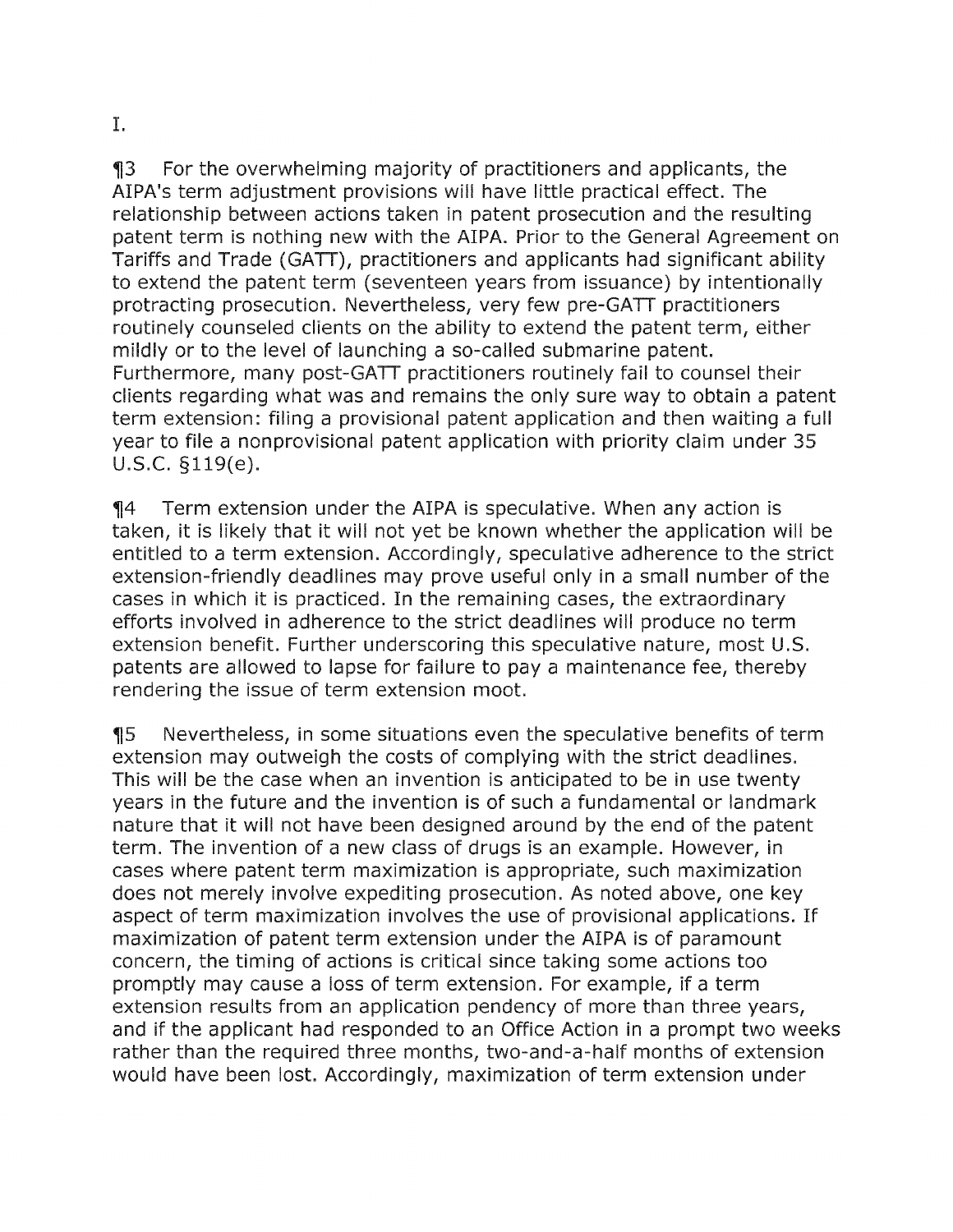3 For the overwhelming majority of practitioners and applicants, the AIPA's term adjustment provisions will have little practical effect. The relationship between actions taken in patent prosecution and the resulting patent term is nothing new with the AIPA. Prior to the General Agreement on Tariffs and Trade (GATT), practitioners and applicants had significant ability to extend the patent term (seventeen years from issuance) by intentionally protracting prosecution. Nevertheless, very few pre-GATT practitioners routinely counseled clients on the ability to extend the patent term, either mildly or to the level of launching a so-called submarine patent. Furthermore, many post-GATT practitioners routinely fail to counsel their clients regarding what was and remains the only sure way to obtain a patent term extension: filing a provisional patent application and then waiting a full year to file a nonprovisional patent application with priority claim under 35 U.S.C. §119(e).

**14** Term extension under the AIPA is speculative. When any action is taken, it is likely that it will not yet be known whether the application will be entitled to a term extension. Accordingly, speculative adherence to the strict extension-friendly deadlines may prove useful only in a small number of the cases in which it is practiced. In the remaining cases, the extraordinary efforts involved in adherence to the strict deadlines will produce no term extension benefit. Further underscoring this speculative nature, most U.S. patents are allowed to lapse for failure to pay a maintenance fee, thereby rendering the issue of term extension moot.

5 Nevertheless, in some situations even the speculative benefits of term extension may outweigh the costs of complying with the strict deadlines. This will be the case when an invention is anticipated to be in use twenty years in the future and the invention is of such a fundamental or landmark nature that it will not have been designed around by the end of the patent term. The invention of a new class of drugs is an example. However, in cases where patent term maximization is appropriate, such maximization does not merely involve expediting prosecution. As noted above, one key aspect of term maximization involves the use of provisional applications. If maximization of patent term extension under the AIPA is of paramount concern, the timing of actions is critical since taking some actions too promptly may cause a loss of term extension. For example, if a term extension results from an application pendency of more than three years, and if the applicant had responded to an Office Action in a prompt two weeks rather than the required three months, two-and-a-half months of extension would have been lost. Accordingly, maximization of term extension under

I.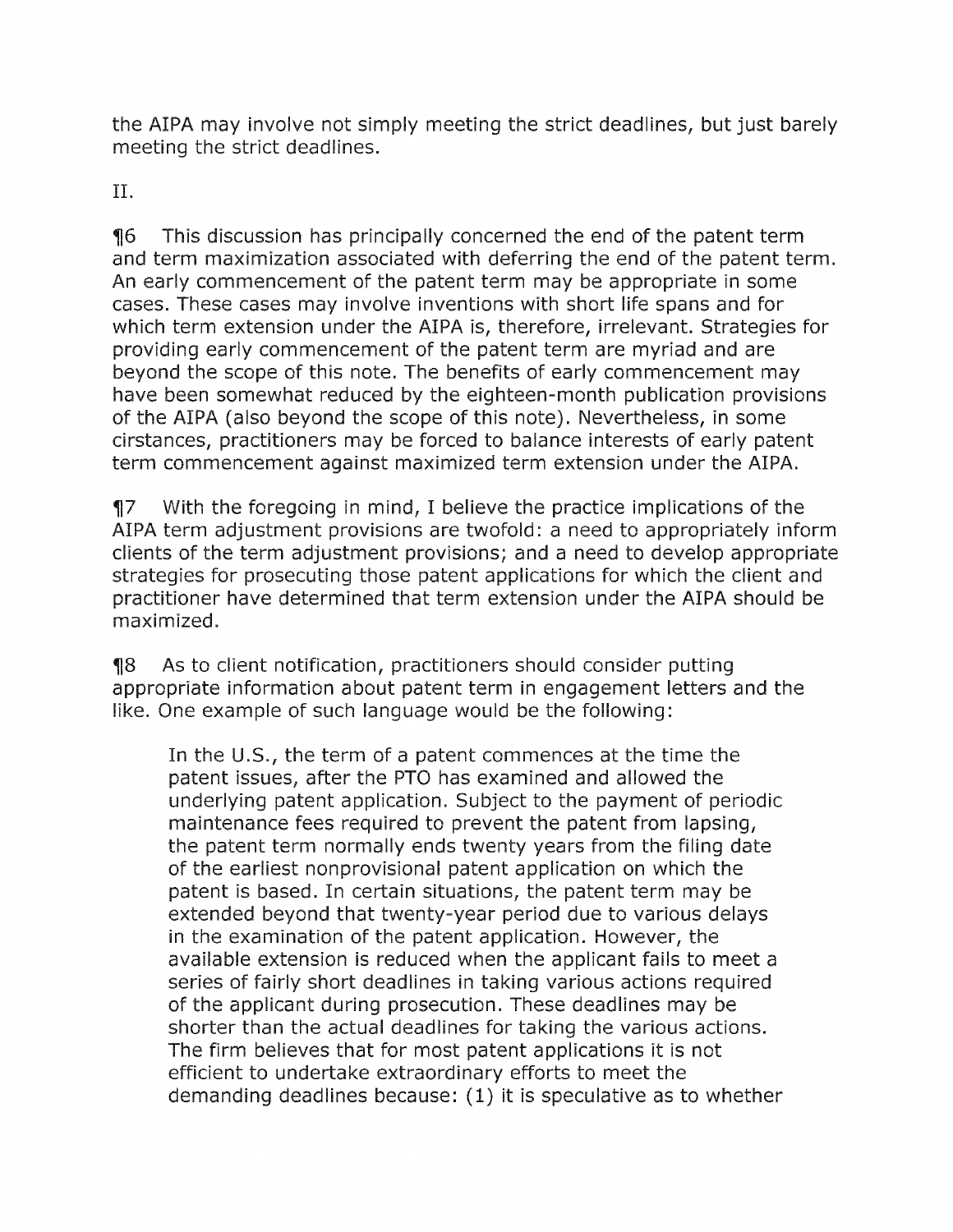the AIPA may involve not simply meeting the strict deadlines, but just barely meeting the strict deadlines.

**II.**

6 This discussion has principally concerned the end of the patent term and term maximization associated with deferring the end of the patent term. An early commencement of the patent term may be appropriate in some cases. These cases may involve inventions with short life spans and for which term extension under the AIPA is, therefore, irrelevant. Strategies for providing early commencement of the patent term are myriad and are beyond the scope of this note. The benefits of early commencement may have been somewhat reduced by the eighteen-month publication provisions of the AIPA (also beyond the scope of this note). Nevertheless, in some cirstances, practitioners may be forced to balance interests of early patent term commencement against maximized term extension under the AIPA.

7 With the foregoing in mind, I believe the practice implications of the AIPA term adjustment provisions are twofold: a need to appropriately inform clients of the term adjustment provisions; and a need to develop appropriate strategies for prosecuting those patent applications for which the client and practitioner have determined that term extension under the AIPA should be maximized.

8 As to client notification, practitioners should consider putting appropriate information about patent term in engagement letters and the like. One example of such language would be the following:

In the U.S., the term of a patent commences at the time the patent issues, after the PTO has examined and allowed the underlying patent application. Subject to the payment of periodic maintenance fees required to prevent the patent from lapsing, the patent term normally ends twenty years from the filing date of the earliest nonprovisional patent application on which the patent is based. In certain situations, the patent term may be extended beyond that twenty-year period due to various delays in the examination of the patent application. However, the available extension is reduced when the applicant fails to meet a series of fairly short deadlines in taking various actions required of the applicant during prosecution. These deadlines may be shorter than the actual deadlines for taking the various actions. The firm believes that for most patent applications it is not efficient to undertake extraordinary efforts to meet the demanding deadlines because: (1) it is speculative as to whether